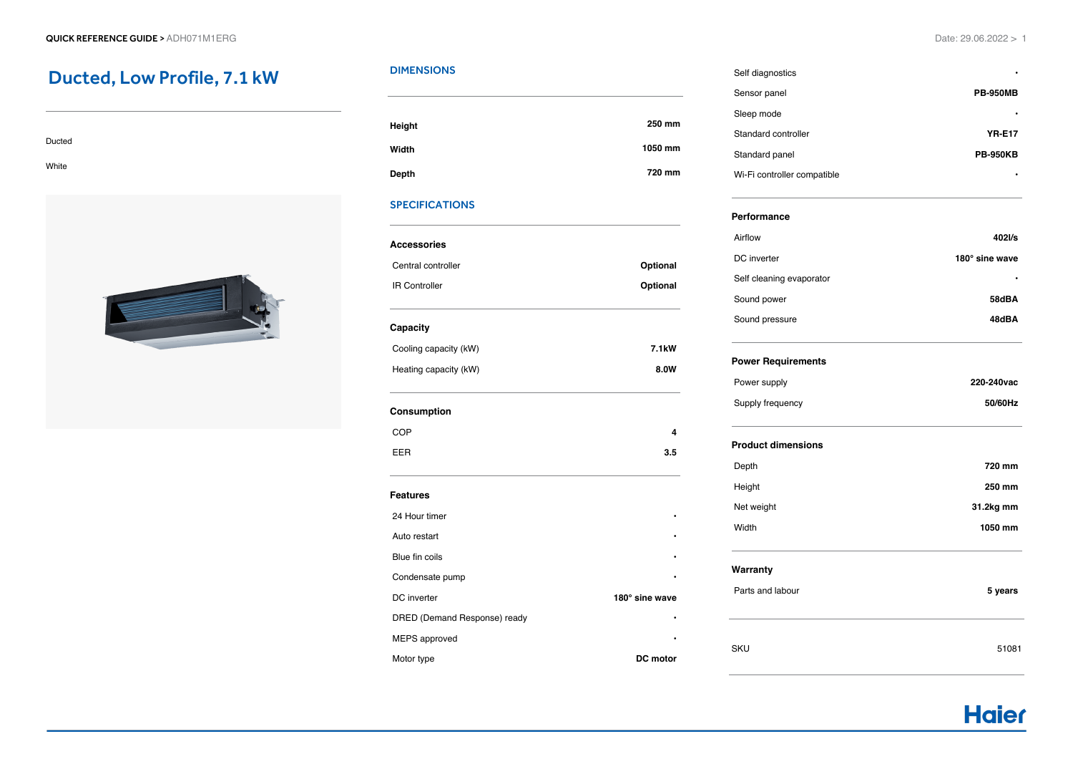# Ducted, Low Profile, 7.1 kW

| Ducted |  |  |  |
|--------|--|--|--|
| White  |  |  |  |



# **DIMENSIONS**

| Height       | 250 mm  |
|--------------|---------|
| Width        | 1050 mm |
| <b>Depth</b> | 720 mm  |

# **SPECIFICATIONS**

| יו ורשו ווש.                 |                    |  |  |
|------------------------------|--------------------|--|--|
| <b>Accessories</b>           |                    |  |  |
| Central controller           | Optional           |  |  |
| <b>IR Controller</b>         | Optional           |  |  |
| Capacity                     |                    |  |  |
| Cooling capacity (kW)        | 7.1 <sub>k</sub> W |  |  |
| Heating capacity (kW)        | 8.0W               |  |  |
| Consumption                  |                    |  |  |
| COP                          | 4                  |  |  |
| EER                          | 3.5                |  |  |
| <b>Features</b>              |                    |  |  |
| 24 Hour timer                |                    |  |  |
| Auto restart                 |                    |  |  |
| Blue fin coils               |                    |  |  |
| Condensate pump              |                    |  |  |
| DC inverter                  | 180° sine wave     |  |  |
| DRED (Demand Response) ready |                    |  |  |
| MEPS approved                |                    |  |  |
| Motor type                   | DC motor           |  |  |

# Self diagnostics **•** Sensor panel **PB-950MB Sleep mode •** Standard controller **YR-E17** Standard panel **PB-950KB**

Wi-Fi controller compatible **•**

#### **Performance**

| Airflow                  | 402l/s         |
|--------------------------|----------------|
| DC inverter              | 180° sine wave |
| Self cleaning evaporator | ٠              |
| Sound power              | 58dBA          |
| Sound pressure           | 48dBA          |

## **Power Requirements**

| Power supply     | 220-240 vac |
|------------------|-------------|
| Supply frequency | 50/60Hz     |

### **Product dimensions**

| Depth      | 720 mm    |
|------------|-----------|
| Height     | 250 mm    |
| Net weight | 31.2kg mm |
| Width      | 1050 mm   |
|            |           |

#### **Warranty**

| . .<br>Parts and labour | 5 years |
|-------------------------|---------|
| <b>SKU</b>              | 51081   |